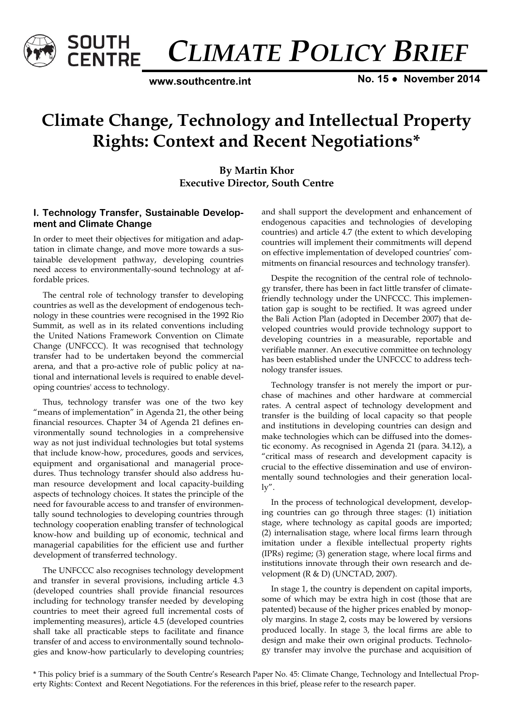

*CLIMATE POLICY BRIEF* 

**www.southcentre.int**

**No. 15 ● November 2014** 

# **Climate Change, Technology and Intellectual Property Rights: Context and Recent Negotiations\***

# **By Martin Khor Executive Director, South Centre**

## **I. Technology Transfer, Sustainable Development and Climate Change**

In order to meet their objectives for mitigation and adaptation in climate change, and move more towards a sustainable development pathway, developing countries need access to environmentally-sound technology at affordable prices.

The central role of technology transfer to developing countries as well as the development of endogenous technology in these countries were recognised in the 1992 Rio Summit, as well as in its related conventions including the United Nations Framework Convention on Climate Change (UNFCCC). It was recognised that technology transfer had to be undertaken beyond the commercial arena, and that a pro-active role of public policy at national and international levels is required to enable developing countries' access to technology.

Thus, technology transfer was one of the two key "means of implementation" in Agenda 21, the other being financial resources. Chapter 34 of Agenda 21 defines environmentally sound technologies in a comprehensive way as not just individual technologies but total systems that include know-how, procedures, goods and services, equipment and organisational and managerial procedures. Thus technology transfer should also address human resource development and local capacity-building aspects of technology choices. It states the principle of the need for favourable access to and transfer of environmentally sound technologies to developing countries through technology cooperation enabling transfer of technological know-how and building up of economic, technical and managerial capabilities for the efficient use and further development of transferred technology.

The UNFCCC also recognises technology development and transfer in several provisions, including article 4.3 (developed countries shall provide financial resources including for technology transfer needed by developing countries to meet their agreed full incremental costs of implementing measures), article 4.5 (developed countries shall take all practicable steps to facilitate and finance transfer of and access to environmentally sound technologies and know-how particularly to developing countries; and shall support the development and enhancement of endogenous capacities and technologies of developing countries) and article 4.7 (the extent to which developing countries will implement their commitments will depend on effective implementation of developed countries' commitments on financial resources and technology transfer).

Despite the recognition of the central role of technology transfer, there has been in fact little transfer of climatefriendly technology under the UNFCCC. This implementation gap is sought to be rectified. It was agreed under the Bali Action Plan (adopted in December 2007) that developed countries would provide technology support to developing countries in a measurable, reportable and verifiable manner. An executive committee on technology has been established under the UNFCCC to address technology transfer issues.

Technology transfer is not merely the import or purchase of machines and other hardware at commercial rates. A central aspect of technology development and transfer is the building of local capacity so that people and institutions in developing countries can design and make technologies which can be diffused into the domestic economy. As recognised in Agenda 21 (para. 34.12), a "critical mass of research and development capacity is crucial to the effective dissemination and use of environmentally sound technologies and their generation locally".

In the process of technological development, developing countries can go through three stages: (1) initiation stage, where technology as capital goods are imported; (2) internalisation stage, where local firms learn through imitation under a flexible intellectual property rights (IPRs) regime; (3) generation stage, where local firms and institutions innovate through their own research and development (R & D) (UNCTAD, 2007).

In stage 1, the country is dependent on capital imports, some of which may be extra high in cost (those that are patented) because of the higher prices enabled by monopoly margins. In stage 2, costs may be lowered by versions produced locally. In stage 3, the local firms are able to design and make their own original products. Technology transfer may involve the purchase and acquisition of

\* This policy brief is a summary of the South Centre's Research Paper No. 45: Climate Change, Technology and Intellectual Property Rights: Context and Recent Negotiations. For the references in this brief, please refer to the research paper.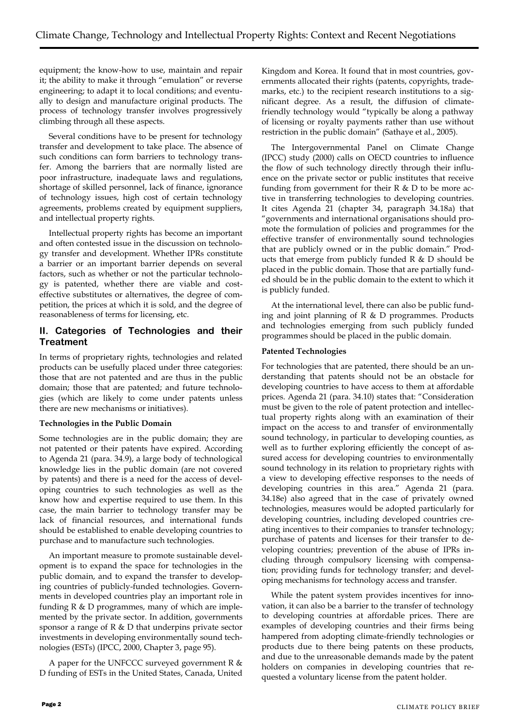equipment; the know-how to use, maintain and repair it; the ability to make it through "emulation" or reverse engineering; to adapt it to local conditions; and eventually to design and manufacture original products. The process of technology transfer involves progressively climbing through all these aspects.

Several conditions have to be present for technology transfer and development to take place. The absence of such conditions can form barriers to technology transfer. Among the barriers that are normally listed are poor infrastructure, inadequate laws and regulations, shortage of skilled personnel, lack of finance, ignorance of technology issues, high cost of certain technology agreements, problems created by equipment suppliers, and intellectual property rights.

Intellectual property rights has become an important and often contested issue in the discussion on technology transfer and development. Whether IPRs constitute a barrier or an important barrier depends on several factors, such as whether or not the particular technology is patented, whether there are viable and costeffective substitutes or alternatives, the degree of competition, the prices at which it is sold, and the degree of reasonableness of terms for licensing, etc.

## **II. Categories of Technologies and their Treatment**

In terms of proprietary rights, technologies and related products can be usefully placed under three categories: those that are not patented and are thus in the public domain; those that are patented; and future technologies (which are likely to come under patents unless there are new mechanisms or initiatives).

## **Technologies in the Public Domain**

Some technologies are in the public domain; they are not patented or their patents have expired. According to Agenda 21 (para. 34.9), a large body of technological knowledge lies in the public domain (are not covered by patents) and there is a need for the access of developing countries to such technologies as well as the know how and expertise required to use them. In this case, the main barrier to technology transfer may be lack of financial resources, and international funds should be established to enable developing countries to purchase and to manufacture such technologies.

An important measure to promote sustainable development is to expand the space for technologies in the public domain, and to expand the transfer to developing countries of publicly-funded technologies. Governments in developed countries play an important role in funding R & D programmes, many of which are implemented by the private sector. In addition, governments sponsor a range of R & D that underpins private sector investments in developing environmentally sound technologies (ESTs) (IPCC, 2000, Chapter 3, page 95).

A paper for the UNFCCC surveyed government R  $\&$ D funding of ESTs in the United States, Canada, United

Kingdom and Korea. It found that in most countries, governments allocated their rights (patents, copyrights, trademarks, etc.) to the recipient research institutions to a significant degree. As a result, the diffusion of climatefriendly technology would "typically be along a pathway of licensing or royalty payments rather than use without restriction in the public domain" (Sathaye et al., 2005).

The Intergovernmental Panel on Climate Change (IPCC) study (2000) calls on OECD countries to influence the flow of such technology directly through their influence on the private sector or public institutes that receive funding from government for their  $R \& D$  to be more active in transferring technologies to developing countries. It cites Agenda 21 (chapter 34, paragraph 34.18a) that "governments and international organisations should promote the formulation of policies and programmes for the effective transfer of environmentally sound technologies that are publicly owned or in the public domain." Products that emerge from publicly funded  $R \& D$  should be placed in the public domain. Those that are partially funded should be in the public domain to the extent to which it is publicly funded.

At the international level, there can also be public funding and joint planning of R & D programmes. Products and technologies emerging from such publicly funded programmes should be placed in the public domain.

#### **Patented Technologies**

For technologies that are patented, there should be an understanding that patents should not be an obstacle for developing countries to have access to them at affordable prices. Agenda 21 (para. 34.10) states that: "Consideration must be given to the role of patent protection and intellectual property rights along with an examination of their impact on the access to and transfer of environmentally sound technology, in particular to developing counties, as well as to further exploring efficiently the concept of assured access for developing countries to environmentally sound technology in its relation to proprietary rights with a view to developing effective responses to the needs of developing countries in this area." Agenda 21 (para. 34.18e) also agreed that in the case of privately owned technologies, measures would be adopted particularly for developing countries, including developed countries creating incentives to their companies to transfer technology; purchase of patents and licenses for their transfer to developing countries; prevention of the abuse of IPRs including through compulsory licensing with compensation; providing funds for technology transfer; and developing mechanisms for technology access and transfer.

While the patent system provides incentives for innovation, it can also be a barrier to the transfer of technology to developing countries at affordable prices. There are examples of developing countries and their firms being hampered from adopting climate-friendly technologies or products due to there being patents on these products, and due to the unreasonable demands made by the patent holders on companies in developing countries that requested a voluntary license from the patent holder.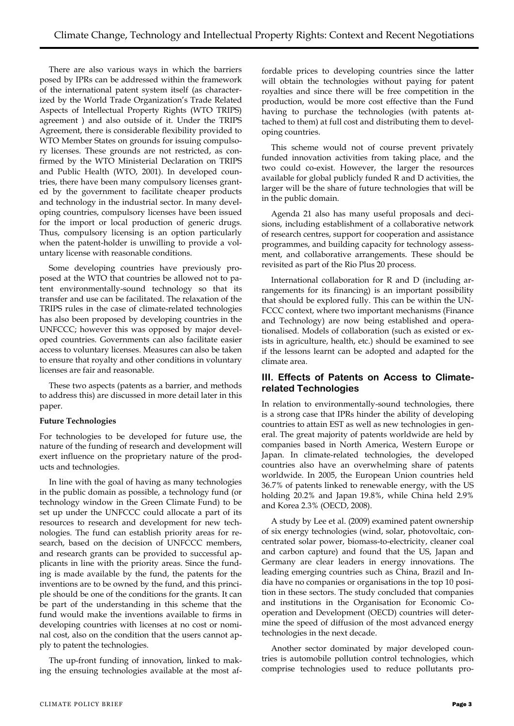There are also various ways in which the barriers posed by IPRs can be addressed within the framework of the international patent system itself (as characterized by the World Trade Organization's Trade Related Aspects of Intellectual Property Rights (WTO TRIPS) agreement ) and also outside of it. Under the TRIPS Agreement, there is considerable flexibility provided to WTO Member States on grounds for issuing compulsory licenses. These grounds are not restricted, as confirmed by the WTO Ministerial Declaration on TRIPS and Public Health (WTO, 2001). In developed countries, there have been many compulsory licenses granted by the government to facilitate cheaper products and technology in the industrial sector. In many developing countries, compulsory licenses have been issued for the import or local production of generic drugs. Thus, compulsory licensing is an option particularly when the patent-holder is unwilling to provide a voluntary license with reasonable conditions.

Some developing countries have previously proposed at the WTO that countries be allowed not to patent environmentally-sound technology so that its transfer and use can be facilitated. The relaxation of the TRIPS rules in the case of climate-related technologies has also been proposed by developing countries in the UNFCCC; however this was opposed by major developed countries. Governments can also facilitate easier access to voluntary licenses. Measures can also be taken to ensure that royalty and other conditions in voluntary licenses are fair and reasonable.

These two aspects (patents as a barrier, and methods to address this) are discussed in more detail later in this paper.

## **Future Technologies**

For technologies to be developed for future use, the nature of the funding of research and development will exert influence on the proprietary nature of the products and technologies.

In line with the goal of having as many technologies in the public domain as possible, a technology fund (or technology window in the Green Climate Fund) to be set up under the UNFCCC could allocate a part of its resources to research and development for new technologies. The fund can establish priority areas for research, based on the decision of UNFCCC members, and research grants can be provided to successful applicants in line with the priority areas. Since the funding is made available by the fund, the patents for the inventions are to be owned by the fund, and this principle should be one of the conditions for the grants. It can be part of the understanding in this scheme that the fund would make the inventions available to firms in developing countries with licenses at no cost or nominal cost, also on the condition that the users cannot apply to patent the technologies.

The up-front funding of innovation, linked to making the ensuing technologies available at the most affordable prices to developing countries since the latter will obtain the technologies without paying for patent royalties and since there will be free competition in the production, would be more cost effective than the Fund having to purchase the technologies (with patents attached to them) at full cost and distributing them to developing countries.

This scheme would not of course prevent privately funded innovation activities from taking place, and the two could co-exist. However, the larger the resources available for global publicly funded R and D activities, the larger will be the share of future technologies that will be in the public domain.

Agenda 21 also has many useful proposals and decisions, including establishment of a collaborative network of research centres, support for cooperation and assistance programmes, and building capacity for technology assessment, and collaborative arrangements. These should be revisited as part of the Rio Plus 20 process.

International collaboration for R and D (including arrangements for its financing) is an important possibility that should be explored fully. This can be within the UN-FCCC context, where two important mechanisms (Finance and Technology) are now being established and operationalised. Models of collaboration (such as existed or exists in agriculture, health, etc.) should be examined to see if the lessons learnt can be adopted and adapted for the climate area.

## **III. Effects of Patents on Access to Climaterelated Technologies**

In relation to environmentally-sound technologies, there is a strong case that IPRs hinder the ability of developing countries to attain EST as well as new technologies in general. The great majority of patents worldwide are held by companies based in North America, Western Europe or Japan. In climate-related technologies, the developed countries also have an overwhelming share of patents worldwide. In 2005, the European Union countries held 36.7% of patents linked to renewable energy, with the US holding 20.2% and Japan 19.8%, while China held 2.9% and Korea 2.3% (OECD, 2008).

A study by Lee et al. (2009) examined patent ownership of six energy technologies (wind, solar, photovoltaic, concentrated solar power, biomass-to-electricity, cleaner coal and carbon capture) and found that the US, Japan and Germany are clear leaders in energy innovations. The leading emerging countries such as China, Brazil and India have no companies or organisations in the top 10 position in these sectors. The study concluded that companies and institutions in the Organisation for Economic Cooperation and Development (OECD) countries will determine the speed of diffusion of the most advanced energy technologies in the next decade.

Another sector dominated by major developed countries is automobile pollution control technologies, which comprise technologies used to reduce pollutants pro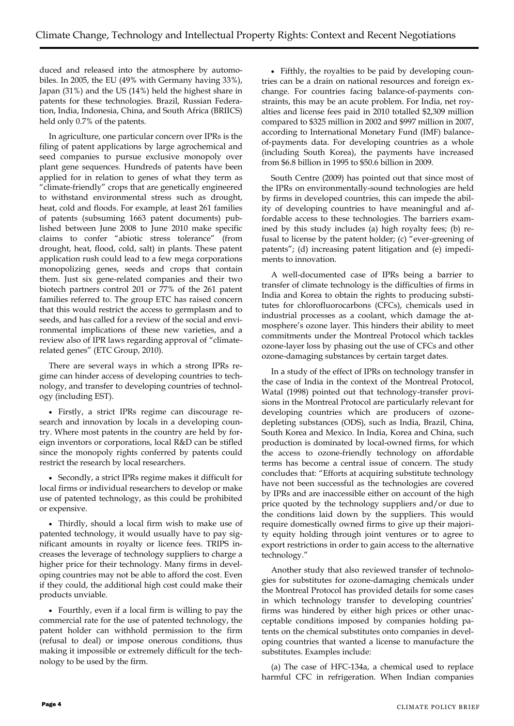duced and released into the atmosphere by automobiles. In 2005, the EU (49% with Germany having 33%), Japan (31%) and the US (14%) held the highest share in patents for these technologies. Brazil, Russian Federation, India, Indonesia, China, and South Africa (BRIICS) held only 0.7% of the patents.

In agriculture, one particular concern over IPRs is the filing of patent applications by large agrochemical and seed companies to pursue exclusive monopoly over plant gene sequences. Hundreds of patents have been applied for in relation to genes of what they term as "climate-friendly" crops that are genetically engineered to withstand environmental stress such as drought, heat, cold and floods. For example, at least 261 families of patents (subsuming 1663 patent documents) published between June 2008 to June 2010 make specific claims to confer "abiotic stress tolerance" (from drought, heat, flood, cold, salt) in plants. These patent application rush could lead to a few mega corporations monopolizing genes, seeds and crops that contain them. Just six gene-related companies and their two biotech partners control 201 or 77% of the 261 patent families referred to. The group ETC has raised concern that this would restrict the access to germplasm and to seeds, and has called for a review of the social and environmental implications of these new varieties, and a review also of IPR laws regarding approval of "climaterelated genes" (ETC Group, 2010).

There are several ways in which a strong IPRs regime can hinder access of developing countries to technology, and transfer to developing countries of technology (including EST).

 Firstly, a strict IPRs regime can discourage research and innovation by locals in a developing country. Where most patents in the country are held by foreign inventors or corporations, local R&D can be stifled since the monopoly rights conferred by patents could restrict the research by local researchers.

 Secondly, a strict IPRs regime makes it difficult for local firms or individual researchers to develop or make use of patented technology, as this could be prohibited or expensive.

 Thirdly, should a local firm wish to make use of patented technology, it would usually have to pay significant amounts in royalty or licence fees. TRIPS increases the leverage of technology suppliers to charge a higher price for their technology. Many firms in developing countries may not be able to afford the cost. Even if they could, the additional high cost could make their products unviable.

 Fourthly, even if a local firm is willing to pay the commercial rate for the use of patented technology, the patent holder can withhold permission to the firm (refusal to deal) or impose onerous conditions, thus making it impossible or extremely difficult for the technology to be used by the firm.

 Fifthly, the royalties to be paid by developing countries can be a drain on national resources and foreign exchange. For countries facing balance-of-payments constraints, this may be an acute problem. For India, net royalties and license fees paid in 2010 totalled \$2,309 million compared to \$325 million in 2002 and \$997 million in 2007, according to International Monetary Fund (IMF) balanceof-payments data. For developing countries as a whole (including South Korea), the payments have increased from \$6.8 billion in 1995 to \$50.6 billion in 2009.

South Centre (2009) has pointed out that since most of the IPRs on environmentally-sound technologies are held by firms in developed countries, this can impede the ability of developing countries to have meaningful and affordable access to these technologies. The barriers examined by this study includes (a) high royalty fees; (b) refusal to license by the patent holder; (c) "ever-greening of patents"; (d) increasing patent litigation and (e) impediments to innovation.

A well-documented case of IPRs being a barrier to transfer of climate technology is the difficulties of firms in India and Korea to obtain the rights to producing substitutes for chlorofluorocarbons (CFCs), chemicals used in industrial processes as a coolant, which damage the atmosphere's ozone layer. This hinders their ability to meet commitments under the Montreal Protocol which tackles ozone-layer loss by phasing out the use of CFCs and other ozone-damaging substances by certain target dates.

In a study of the effect of IPRs on technology transfer in the case of India in the context of the Montreal Protocol, Watal (1998) pointed out that technology-transfer provisions in the Montreal Protocol are particularly relevant for developing countries which are producers of ozonedepleting substances (ODS), such as India, Brazil, China, South Korea and Mexico. In India, Korea and China, such production is dominated by local-owned firms, for which the access to ozone-friendly technology on affordable terms has become a central issue of concern. The study concludes that: "Efforts at acquiring substitute technology have not been successful as the technologies are covered by IPRs and are inaccessible either on account of the high price quoted by the technology suppliers and/or due to the conditions laid down by the suppliers. This would require domestically owned firms to give up their majority equity holding through joint ventures or to agree to export restrictions in order to gain access to the alternative technology."

Another study that also reviewed transfer of technologies for substitutes for ozone-damaging chemicals under the Montreal Protocol has provided details for some cases in which technology transfer to developing countries' firms was hindered by either high prices or other unacceptable conditions imposed by companies holding patents on the chemical substitutes onto companies in developing countries that wanted a license to manufacture the substitutes. Examples include:

(a) The case of HFC-134a, a chemical used to replace harmful CFC in refrigeration. When Indian companies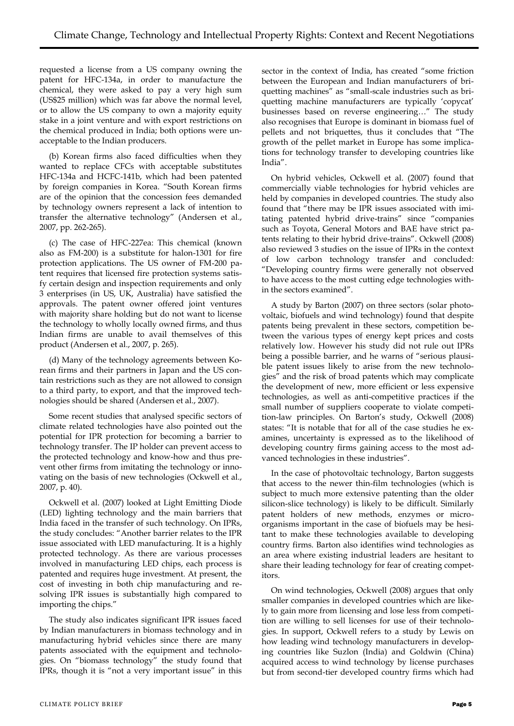requested a license from a US company owning the patent for HFC-134a, in order to manufacture the chemical, they were asked to pay a very high sum (US\$25 million) which was far above the normal level, or to allow the US company to own a majority equity stake in a joint venture and with export restrictions on the chemical produced in India; both options were unacceptable to the Indian producers.

(b) Korean firms also faced difficulties when they wanted to replace CFCs with acceptable substitutes HFC-134a and HCFC-141b, which had been patented by foreign companies in Korea. "South Korean firms are of the opinion that the concession fees demanded by technology owners represent a lack of intention to transfer the alternative technology" (Andersen et al., 2007, pp. 262-265).

(c) The case of HFC-227ea: This chemical (known also as FM-200) is a substitute for halon-1301 for fire protection applications. The US owner of FM-200 patent requires that licensed fire protection systems satisfy certain design and inspection requirements and only 3 enterprises (in US, UK, Australia) have satisfied the approvals. The patent owner offered joint ventures with majority share holding but do not want to license the technology to wholly locally owned firms, and thus Indian firms are unable to avail themselves of this product (Andersen et al., 2007, p. 265).

(d) Many of the technology agreements between Korean firms and their partners in Japan and the US contain restrictions such as they are not allowed to consign to a third party, to export, and that the improved technologies should be shared (Andersen et al., 2007).

Some recent studies that analysed specific sectors of climate related technologies have also pointed out the potential for IPR protection for becoming a barrier to technology transfer. The IP holder can prevent access to the protected technology and know-how and thus prevent other firms from imitating the technology or innovating on the basis of new technologies (Ockwell et al., 2007, p. 40).

Ockwell et al. (2007) looked at Light Emitting Diode (LED) lighting technology and the main barriers that India faced in the transfer of such technology. On IPRs, the study concludes: "Another barrier relates to the IPR issue associated with LED manufacturing. It is a highly protected technology. As there are various processes involved in manufacturing LED chips, each process is patented and requires huge investment. At present, the cost of investing in both chip manufacturing and resolving IPR issues is substantially high compared to importing the chips."

The study also indicates significant IPR issues faced by Indian manufacturers in biomass technology and in manufacturing hybrid vehicles since there are many patents associated with the equipment and technologies. On "biomass technology" the study found that IPRs, though it is "not a very important issue" in this

sector in the context of India, has created "some friction between the European and Indian manufacturers of briquetting machines" as "small-scale industries such as briquetting machine manufacturers are typically 'copycat' businesses based on reverse engineering…" The study also recognises that Europe is dominant in biomass fuel of pellets and not briquettes, thus it concludes that "The growth of the pellet market in Europe has some implications for technology transfer to developing countries like India".

On hybrid vehicles, Ockwell et al. (2007) found that commercially viable technologies for hybrid vehicles are held by companies in developed countries. The study also found that "there may be IPR issues associated with imitating patented hybrid drive-trains" since "companies such as Toyota, General Motors and BAE have strict patents relating to their hybrid drive-trains". Ockwell (2008) also reviewed 3 studies on the issue of IPRs in the context of low carbon technology transfer and concluded: "Developing country firms were generally not observed to have access to the most cutting edge technologies within the sectors examined".

A study by Barton (2007) on three sectors (solar photovoltaic, biofuels and wind technology) found that despite patents being prevalent in these sectors, competition between the various types of energy kept prices and costs relatively low. However his study did not rule out IPRs being a possible barrier, and he warns of "serious plausible patent issues likely to arise from the new technologies" and the risk of broad patents which may complicate the development of new, more efficient or less expensive technologies, as well as anti-competitive practices if the small number of suppliers cooperate to violate competition-law principles. On Barton's study, Ockwell (2008) states: "It is notable that for all of the case studies he examines, uncertainty is expressed as to the likelihood of developing country firms gaining access to the most advanced technologies in these industries".

In the case of photovoltaic technology, Barton suggests that access to the newer thin-film technologies (which is subject to much more extensive patenting than the older silicon-slice technology) is likely to be difficult. Similarly patent holders of new methods, enzymes or microorganisms important in the case of biofuels may be hesitant to make these technologies available to developing country firms. Barton also identifies wind technologies as an area where existing industrial leaders are hesitant to share their leading technology for fear of creating competitors.

On wind technologies, Ockwell (2008) argues that only smaller companies in developed countries which are likely to gain more from licensing and lose less from competition are willing to sell licenses for use of their technologies. In support, Ockwell refers to a study by Lewis on how leading wind technology manufacturers in developing countries like Suzlon (India) and Goldwin (China) acquired access to wind technology by license purchases but from second-tier developed country firms which had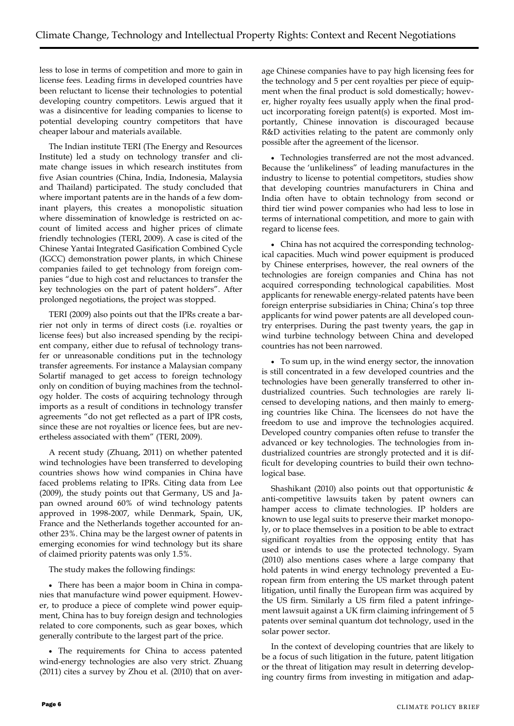less to lose in terms of competition and more to gain in license fees. Leading firms in developed countries have been reluctant to license their technologies to potential developing country competitors. Lewis argued that it was a disincentive for leading companies to license to potential developing country competitors that have cheaper labour and materials available.

The Indian institute TERI (The Energy and Resources Institute) led a study on technology transfer and climate change issues in which research institutes from five Asian countries (China, India, Indonesia, Malaysia and Thailand) participated. The study concluded that where important patents are in the hands of a few dominant players, this creates a monopolistic situation where dissemination of knowledge is restricted on account of limited access and higher prices of climate friendly technologies (TERI, 2009). A case is cited of the Chinese Yantai Integrated Gasification Combined Cycle (IGCC) demonstration power plants, in which Chinese companies failed to get technology from foreign companies "due to high cost and reluctances to transfer the key technologies on the part of patent holders". After prolonged negotiations, the project was stopped.

TERI (2009) also points out that the IPRs create a barrier not only in terms of direct costs (i.e. royalties or license fees) but also increased spending by the recipient company, either due to refusal of technology transfer or unreasonable conditions put in the technology transfer agreements. For instance a Malaysian company Solartif managed to get access to foreign technology only on condition of buying machines from the technology holder. The costs of acquiring technology through imports as a result of conditions in technology transfer agreements "do not get reflected as a part of IPR costs, since these are not royalties or licence fees, but are nevertheless associated with them" (TERI, 2009).

A recent study (Zhuang, 2011) on whether patented wind technologies have been transferred to developing countries shows how wind companies in China have faced problems relating to IPRs. Citing data from Lee (2009), the study points out that Germany, US and Japan owned around 60% of wind technology patents approved in 1998-2007, while Denmark, Spain, UK, France and the Netherlands together accounted for another 23%. China may be the largest owner of patents in emerging economies for wind technology but its share of claimed priority patents was only 1.5%.

The study makes the following findings:

 There has been a major boom in China in companies that manufacture wind power equipment. However, to produce a piece of complete wind power equipment, China has to buy foreign design and technologies related to core components, such as gear boxes, which generally contribute to the largest part of the price.

 The requirements for China to access patented wind-energy technologies are also very strict. Zhuang (2011) cites a survey by Zhou et al. (2010) that on aver-

age Chinese companies have to pay high licensing fees for the technology and 5 per cent royalties per piece of equipment when the final product is sold domestically; however, higher royalty fees usually apply when the final product incorporating foreign patent(s) is exported. Most importantly, Chinese innovation is discouraged because R&D activities relating to the patent are commonly only possible after the agreement of the licensor.

 Technologies transferred are not the most advanced. Because the 'unlikeliness" of leading manufactures in the industry to license to potential competitors, studies show that developing countries manufacturers in China and India often have to obtain technology from second or third tier wind power companies who had less to lose in terms of international competition, and more to gain with regard to license fees.

 China has not acquired the corresponding technological capacities. Much wind power equipment is produced by Chinese enterprises, however, the real owners of the technologies are foreign companies and China has not acquired corresponding technological capabilities. Most applicants for renewable energy-related patents have been foreign enterprise subsidiaries in China; China's top three applicants for wind power patents are all developed country enterprises. During the past twenty years, the gap in wind turbine technology between China and developed countries has not been narrowed.

 To sum up, in the wind energy sector, the innovation is still concentrated in a few developed countries and the technologies have been generally transferred to other industrialized countries. Such technologies are rarely licensed to developing nations, and then mainly to emerging countries like China. The licensees do not have the freedom to use and improve the technologies acquired. Developed country companies often refuse to transfer the advanced or key technologies. The technologies from industrialized countries are strongly protected and it is difficult for developing countries to build their own technological base.

Shashikant (2010) also points out that opportunistic  $\&$ anti-competitive lawsuits taken by patent owners can hamper access to climate technologies. IP holders are known to use legal suits to preserve their market monopoly, or to place themselves in a position to be able to extract significant royalties from the opposing entity that has used or intends to use the protected technology. Syam (2010) also mentions cases where a large company that hold patents in wind energy technology prevented a European firm from entering the US market through patent litigation, until finally the European firm was acquired by the US firm. Similarly a US firm filed a patent infringement lawsuit against a UK firm claiming infringement of 5 patents over seminal quantum dot technology, used in the solar power sector.

In the context of developing countries that are likely to be a focus of such litigation in the future, patent litigation or the threat of litigation may result in deterring developing country firms from investing in mitigation and adap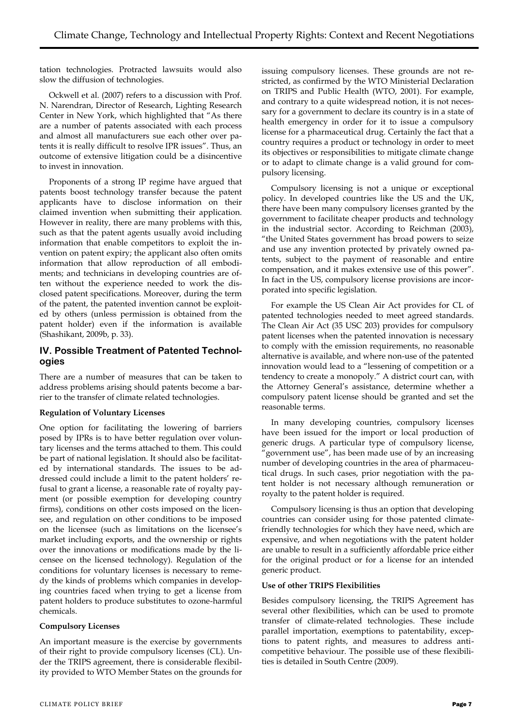tation technologies. Protracted lawsuits would also slow the diffusion of technologies.

Ockwell et al. (2007) refers to a discussion with Prof. N. Narendran, Director of Research, Lighting Research Center in New York, which highlighted that "As there are a number of patents associated with each process and almost all manufacturers sue each other over patents it is really difficult to resolve IPR issues". Thus, an outcome of extensive litigation could be a disincentive to invest in innovation.

Proponents of a strong IP regime have argued that patents boost technology transfer because the patent applicants have to disclose information on their claimed invention when submitting their application. However in reality, there are many problems with this, such as that the patent agents usually avoid including information that enable competitors to exploit the invention on patent expiry; the applicant also often omits information that allow reproduction of all embodiments; and technicians in developing countries are often without the experience needed to work the disclosed patent specifications. Moreover, during the term of the patent, the patented invention cannot be exploited by others (unless permission is obtained from the patent holder) even if the information is available (Shashikant, 2009b, p. 33).

## **IV. Possible Treatment of Patented Technologies**

There are a number of measures that can be taken to address problems arising should patents become a barrier to the transfer of climate related technologies.

#### **Regulation of Voluntary Licenses**

One option for facilitating the lowering of barriers posed by IPRs is to have better regulation over voluntary licenses and the terms attached to them. This could be part of national legislation. It should also be facilitated by international standards. The issues to be addressed could include a limit to the patent holders' refusal to grant a license, a reasonable rate of royalty payment (or possible exemption for developing country firms), conditions on other costs imposed on the licensee, and regulation on other conditions to be imposed on the licensee (such as limitations on the licensee's market including exports, and the ownership or rights over the innovations or modifications made by the licensee on the licensed technology). Regulation of the conditions for voluntary licenses is necessary to remedy the kinds of problems which companies in developing countries faced when trying to get a license from patent holders to produce substitutes to ozone-harmful chemicals.

#### **Compulsory Licenses**

An important measure is the exercise by governments of their right to provide compulsory licenses (CL). Under the TRIPS agreement, there is considerable flexibility provided to WTO Member States on the grounds for issuing compulsory licenses. These grounds are not restricted, as confirmed by the WTO Ministerial Declaration on TRIPS and Public Health (WTO, 2001). For example, and contrary to a quite widespread notion, it is not necessary for a government to declare its country is in a state of health emergency in order for it to issue a compulsory license for a pharmaceutical drug. Certainly the fact that a country requires a product or technology in order to meet its objectives or responsibilities to mitigate climate change or to adapt to climate change is a valid ground for compulsory licensing.

Compulsory licensing is not a unique or exceptional policy. In developed countries like the US and the UK, there have been many compulsory licenses granted by the government to facilitate cheaper products and technology in the industrial sector. According to Reichman (2003), "the United States government has broad powers to seize and use any invention protected by privately owned patents, subject to the payment of reasonable and entire compensation, and it makes extensive use of this power". In fact in the US, compulsory license provisions are incorporated into specific legislation.

For example the US Clean Air Act provides for CL of patented technologies needed to meet agreed standards. The Clean Air Act (35 USC 203) provides for compulsory patent licenses when the patented innovation is necessary to comply with the emission requirements, no reasonable alternative is available, and where non-use of the patented innovation would lead to a "lessening of competition or a tendency to create a monopoly." A district court can, with the Attorney General's assistance, determine whether a compulsory patent license should be granted and set the reasonable terms.

In many developing countries, compulsory licenses have been issued for the import or local production of generic drugs. A particular type of compulsory license, "government use", has been made use of by an increasing number of developing countries in the area of pharmaceutical drugs. In such cases, prior negotiation with the patent holder is not necessary although remuneration or royalty to the patent holder is required.

Compulsory licensing is thus an option that developing countries can consider using for those patented climatefriendly technologies for which they have need, which are expensive, and when negotiations with the patent holder are unable to result in a sufficiently affordable price either for the original product or for a license for an intended generic product.

#### **Use of other TRIPS Flexibilities**

Besides compulsory licensing, the TRIPS Agreement has several other flexibilities, which can be used to promote transfer of climate-related technologies. These include parallel importation, exemptions to patentability, exceptions to patent rights, and measures to address anticompetitive behaviour. The possible use of these flexibilities is detailed in South Centre (2009).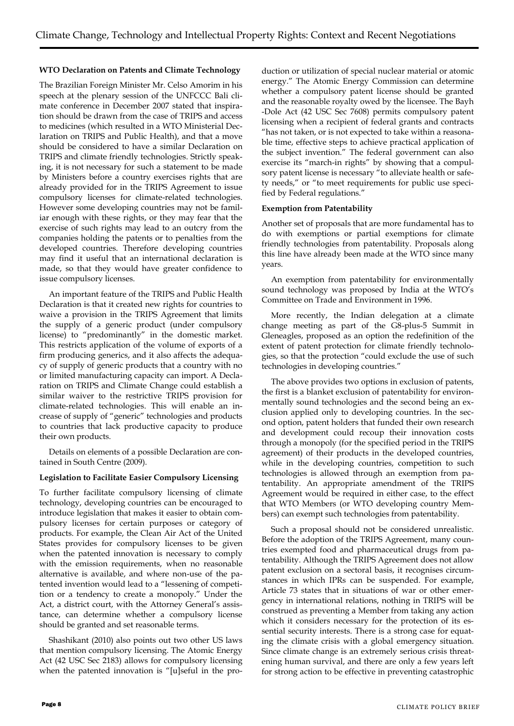#### **WTO Declaration on Patents and Climate Technology**

The Brazilian Foreign Minister Mr. Celso Amorim in his speech at the plenary session of the UNFCCC Bali climate conference in December 2007 stated that inspiration should be drawn from the case of TRIPS and access to medicines (which resulted in a WTO Ministerial Declaration on TRIPS and Public Health), and that a move should be considered to have a similar Declaration on TRIPS and climate friendly technologies. Strictly speaking, it is not necessary for such a statement to be made by Ministers before a country exercises rights that are already provided for in the TRIPS Agreement to issue compulsory licenses for climate-related technologies. However some developing countries may not be familiar enough with these rights, or they may fear that the exercise of such rights may lead to an outcry from the companies holding the patents or to penalties from the developed countries. Therefore developing countries may find it useful that an international declaration is made, so that they would have greater confidence to issue compulsory licenses.

An important feature of the TRIPS and Public Health Declaration is that it created new rights for countries to waive a provision in the TRIPS Agreement that limits the supply of a generic product (under compulsory license) to "predominantly" in the domestic market. This restricts application of the volume of exports of a firm producing generics, and it also affects the adequacy of supply of generic products that a country with no or limited manufacturing capacity can import. A Declaration on TRIPS and Climate Change could establish a similar waiver to the restrictive TRIPS provision for climate-related technologies. This will enable an increase of supply of "generic" technologies and products to countries that lack productive capacity to produce their own products.

Details on elements of a possible Declaration are contained in South Centre (2009).

#### **Legislation to Facilitate Easier Compulsory Licensing**

To further facilitate compulsory licensing of climate technology, developing countries can be encouraged to introduce legislation that makes it easier to obtain compulsory licenses for certain purposes or category of products. For example, the Clean Air Act of the United States provides for compulsory licenses to be given when the patented innovation is necessary to comply with the emission requirements, when no reasonable alternative is available, and where non-use of the patented invention would lead to a "lessening of competition or a tendency to create a monopoly." Under the Act, a district court, with the Attorney General's assistance, can determine whether a compulsory license should be granted and set reasonable terms.

Shashikant (2010) also points out two other US laws that mention compulsory licensing. The Atomic Energy Act (42 USC Sec 2183) allows for compulsory licensing when the patented innovation is "[u]seful in the pro-

duction or utilization of special nuclear material or atomic energy." The Atomic Energy Commission can determine whether a compulsory patent license should be granted and the reasonable royalty owed by the licensee. The Bayh -Dole Act (42 USC Sec 7608) permits compulsory patent licensing when a recipient of federal grants and contracts "has not taken, or is not expected to take within a reasonable time, effective steps to achieve practical application of the subject invention." The federal government can also exercise its "march-in rights" by showing that a compulsory patent license is necessary "to alleviate health or safety needs," or "to meet requirements for public use specified by Federal regulations."

#### **Exemption from Patentability**

Another set of proposals that are more fundamental has to do with exemptions or partial exemptions for climate friendly technologies from patentability. Proposals along this line have already been made at the WTO since many years.

An exemption from patentability for environmentally sound technology was proposed by India at the WTO's Committee on Trade and Environment in 1996.

More recently, the Indian delegation at a climate change meeting as part of the G8-plus-5 Summit in Gleneagles, proposed as an option the redefinition of the extent of patent protection for climate friendly technologies, so that the protection "could exclude the use of such technologies in developing countries."

The above provides two options in exclusion of patents, the first is a blanket exclusion of patentability for environmentally sound technologies and the second being an exclusion applied only to developing countries. In the second option, patent holders that funded their own research and development could recoup their innovation costs through a monopoly (for the specified period in the TRIPS agreement) of their products in the developed countries, while in the developing countries, competition to such technologies is allowed through an exemption from patentability. An appropriate amendment of the TRIPS Agreement would be required in either case, to the effect that WTO Members (or WTO developing country Members) can exempt such technologies from patentability.

Such a proposal should not be considered unrealistic. Before the adoption of the TRIPS Agreement, many countries exempted food and pharmaceutical drugs from patentability. Although the TRIPS Agreement does not allow patent exclusion on a sectoral basis, it recognises circumstances in which IPRs can be suspended. For example, Article 73 states that in situations of war or other emergency in international relations, nothing in TRIPS will be construed as preventing a Member from taking any action which it considers necessary for the protection of its essential security interests. There is a strong case for equating the climate crisis with a global emergency situation. Since climate change is an extremely serious crisis threatening human survival, and there are only a few years left for strong action to be effective in preventing catastrophic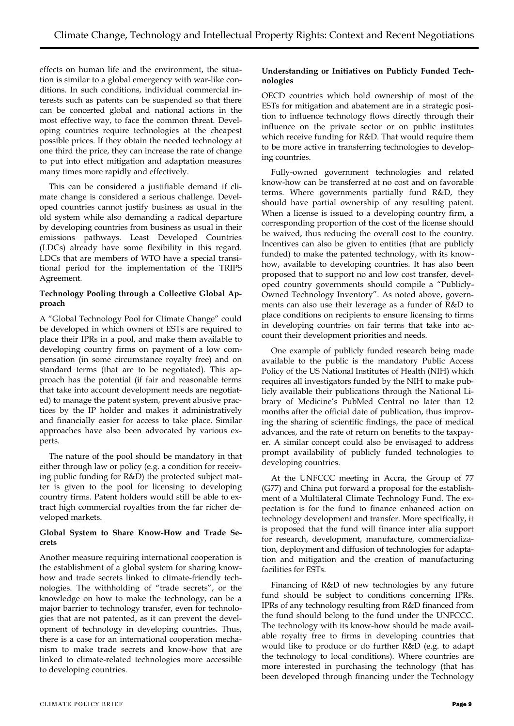effects on human life and the environment, the situation is similar to a global emergency with war-like conditions. In such conditions, individual commercial interests such as patents can be suspended so that there can be concerted global and national actions in the most effective way, to face the common threat. Developing countries require technologies at the cheapest possible prices. If they obtain the needed technology at one third the price, they can increase the rate of change to put into effect mitigation and adaptation measures many times more rapidly and effectively.

This can be considered a justifiable demand if climate change is considered a serious challenge. Developed countries cannot justify business as usual in the old system while also demanding a radical departure by developing countries from business as usual in their emissions pathways. Least Developed Countries (LDCs) already have some flexibility in this regard. LDCs that are members of WTO have a special transitional period for the implementation of the TRIPS Agreement.

#### **Technology Pooling through a Collective Global Approach**

A "Global Technology Pool for Climate Change" could be developed in which owners of ESTs are required to place their IPRs in a pool, and make them available to developing country firms on payment of a low compensation (in some circumstance royalty free) and on standard terms (that are to be negotiated). This approach has the potential (if fair and reasonable terms that take into account development needs are negotiated) to manage the patent system, prevent abusive practices by the IP holder and makes it administratively and financially easier for access to take place. Similar approaches have also been advocated by various experts.

The nature of the pool should be mandatory in that either through law or policy (e.g. a condition for receiving public funding for R&D) the protected subject matter is given to the pool for licensing to developing country firms. Patent holders would still be able to extract high commercial royalties from the far richer developed markets.

#### **Global System to Share Know-How and Trade Secrets**

Another measure requiring international cooperation is the establishment of a global system for sharing knowhow and trade secrets linked to climate-friendly technologies. The withholding of "trade secrets", or the knowledge on how to make the technology, can be a major barrier to technology transfer, even for technologies that are not patented, as it can prevent the development of technology in developing countries. Thus, there is a case for an international cooperation mechanism to make trade secrets and know-how that are linked to climate-related technologies more accessible to developing countries.

#### **Understanding or Initiatives on Publicly Funded Technologies**

OECD countries which hold ownership of most of the ESTs for mitigation and abatement are in a strategic position to influence technology flows directly through their influence on the private sector or on public institutes which receive funding for R&D. That would require them to be more active in transferring technologies to developing countries.

Fully-owned government technologies and related know-how can be transferred at no cost and on favorable terms. Where governments partially fund R&D, they should have partial ownership of any resulting patent. When a license is issued to a developing country firm, a corresponding proportion of the cost of the license should be waived, thus reducing the overall cost to the country. Incentives can also be given to entities (that are publicly funded) to make the patented technology, with its knowhow, available to developing countries. It has also been proposed that to support no and low cost transfer, developed country governments should compile a "Publicly-Owned Technology Inventory". As noted above, governments can also use their leverage as a funder of R&D to place conditions on recipients to ensure licensing to firms in developing countries on fair terms that take into account their development priorities and needs.

One example of publicly funded research being made available to the public is the mandatory Public Access Policy of the US National Institutes of Health (NIH) which requires all investigators funded by the NIH to make publicly available their publications through the National Library of Medicine's PubMed Central no later than 12 months after the official date of publication, thus improving the sharing of scientific findings, the pace of medical advances, and the rate of return on benefits to the taxpayer. A similar concept could also be envisaged to address prompt availability of publicly funded technologies to developing countries.

At the UNFCCC meeting in Accra, the Group of 77 (G77) and China put forward a proposal for the establishment of a Multilateral Climate Technology Fund. The expectation is for the fund to finance enhanced action on technology development and transfer. More specifically, it is proposed that the fund will finance inter alia support for research, development, manufacture, commercialization, deployment and diffusion of technologies for adaptation and mitigation and the creation of manufacturing facilities for ESTs.

Financing of R&D of new technologies by any future fund should be subject to conditions concerning IPRs. IPRs of any technology resulting from R&D financed from the fund should belong to the fund under the UNFCCC. The technology with its know-how should be made available royalty free to firms in developing countries that would like to produce or do further R&D (e.g. to adapt the technology to local conditions). Where countries are more interested in purchasing the technology (that has been developed through financing under the Technology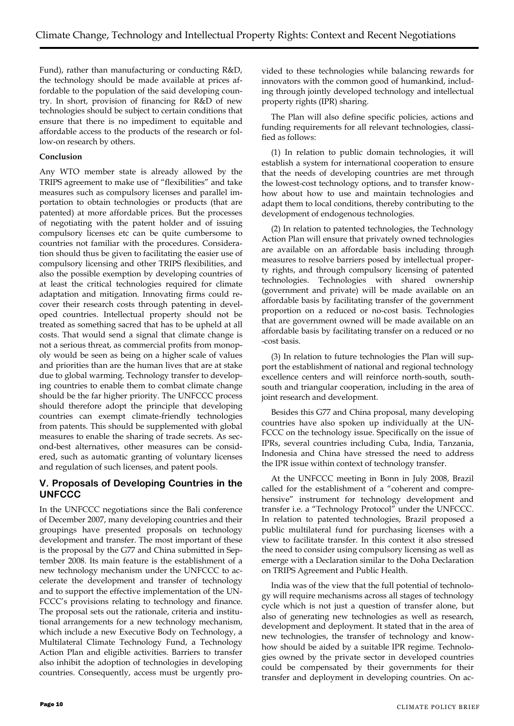Fund), rather than manufacturing or conducting R&D, the technology should be made available at prices affordable to the population of the said developing country. In short, provision of financing for R&D of new technologies should be subject to certain conditions that ensure that there is no impediment to equitable and affordable access to the products of the research or follow-on research by others.

## **Conclusion**

Any WTO member state is already allowed by the TRIPS agreement to make use of "flexibilities" and take measures such as compulsory licenses and parallel importation to obtain technologies or products (that are patented) at more affordable prices. But the processes of negotiating with the patent holder and of issuing compulsory licenses etc can be quite cumbersome to countries not familiar with the procedures. Consideration should thus be given to facilitating the easier use of compulsory licensing and other TRIPS flexibilities, and also the possible exemption by developing countries of at least the critical technologies required for climate adaptation and mitigation. Innovating firms could recover their research costs through patenting in developed countries. Intellectual property should not be treated as something sacred that has to be upheld at all costs. That would send a signal that climate change is not a serious threat, as commercial profits from monopoly would be seen as being on a higher scale of values and priorities than are the human lives that are at stake due to global warming. Technology transfer to developing countries to enable them to combat climate change should be the far higher priority. The UNFCCC process should therefore adopt the principle that developing countries can exempt climate-friendly technologies from patents. This should be supplemented with global measures to enable the sharing of trade secrets. As second-best alternatives, other measures can be considered, such as automatic granting of voluntary licenses and regulation of such licenses, and patent pools.

# **V. Proposals of Developing Countries in the UNFCCC**

In the UNFCCC negotiations since the Bali conference of December 2007, many developing countries and their groupings have presented proposals on technology development and transfer. The most important of these is the proposal by the G77 and China submitted in September 2008. Its main feature is the establishment of a new technology mechanism under the UNFCCC to accelerate the development and transfer of technology and to support the effective implementation of the UN-FCCC's provisions relating to technology and finance. The proposal sets out the rationale, criteria and institutional arrangements for a new technology mechanism, which include a new Executive Body on Technology, a Multilateral Climate Technology Fund, a Technology Action Plan and eligible activities. Barriers to transfer also inhibit the adoption of technologies in developing countries. Consequently, access must be urgently provided to these technologies while balancing rewards for innovators with the common good of humankind, including through jointly developed technology and intellectual property rights (IPR) sharing.

The Plan will also define specific policies, actions and funding requirements for all relevant technologies, classified as follows:

(1) In relation to public domain technologies, it will establish a system for international cooperation to ensure that the needs of developing countries are met through the lowest-cost technology options, and to transfer knowhow about how to use and maintain technologies and adapt them to local conditions, thereby contributing to the development of endogenous technologies.

(2) In relation to patented technologies, the Technology Action Plan will ensure that privately owned technologies are available on an affordable basis including through measures to resolve barriers posed by intellectual property rights, and through compulsory licensing of patented technologies. Technologies with shared ownership (government and private) will be made available on an affordable basis by facilitating transfer of the government proportion on a reduced or no-cost basis. Technologies that are government owned will be made available on an affordable basis by facilitating transfer on a reduced or no -cost basis.

(3) In relation to future technologies the Plan will support the establishment of national and regional technology excellence centers and will reinforce north-south, southsouth and triangular cooperation, including in the area of joint research and development.

Besides this G77 and China proposal, many developing countries have also spoken up individually at the UN-FCCC on the technology issue. Specifically on the issue of IPRs, several countries including Cuba, India, Tanzania, Indonesia and China have stressed the need to address the IPR issue within context of technology transfer.

At the UNFCCC meeting in Bonn in July 2008, Brazil called for the establishment of a "coherent and comprehensive" instrument for technology development and transfer i.e. a "Technology Protocol" under the UNFCCC. In relation to patented technologies, Brazil proposed a public multilateral fund for purchasing licenses with a view to facilitate transfer. In this context it also stressed the need to consider using compulsory licensing as well as emerge with a Declaration similar to the Doha Declaration on TRIPS Agreement and Public Health.

India was of the view that the full potential of technology will require mechanisms across all stages of technology cycle which is not just a question of transfer alone, but also of generating new technologies as well as research, development and deployment. It stated that in the area of new technologies, the transfer of technology and knowhow should be aided by a suitable IPR regime. Technologies owned by the private sector in developed countries could be compensated by their governments for their transfer and deployment in developing countries. On ac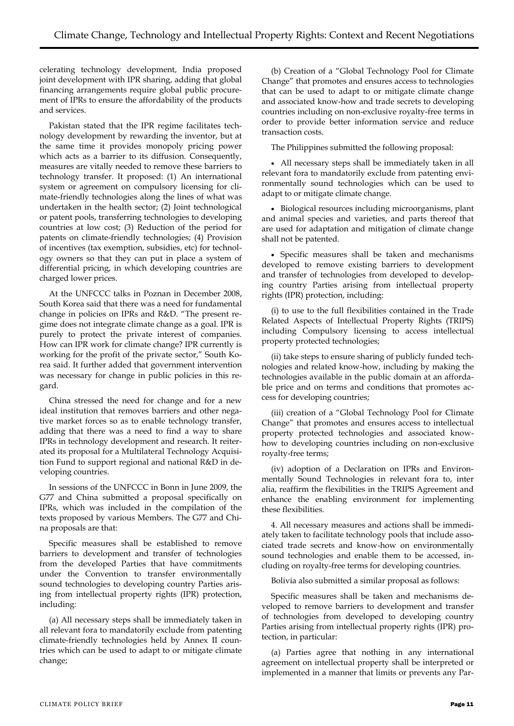celerating technology development, India proposed joint development with IPR sharing, adding that global financing arrangements require global public procurement of IPRs to ensure the affordability of the products and services.

Pakistan stated that the IPR regime facilitates technology development by rewarding the inventor, but at the same time it provides monopoly pricing power which acts as a barrier to its diffusion. Consequently, measures are vitally needed to remove these barriers to technology transfer. It proposed: (1) An international system or agreement on compulsory licensing for climate-friendly technologies along the lines of what was undertaken in the health sector; (2) Joint technological or patent pools, transferring technologies to developing countries at low cost; (3) Reduction of the period for patents on climate-friendly technologies; (4) Provision of incentives (tax exemption, subsidies, etc) for technology owners so that they can put in place a system of differential pricing, in which developing countries are charged lower prices.

At the UNFCCC talks in Poznan in December 2008, South Korea said that there was a need for fundamental change in policies on IPRs and R&D. "The present regime does not integrate climate change as a goal. IPR is purely to protect the private interest of companies. How can IPR work for climate change? IPR currently is working for the profit of the private sector," South Korea said. It further added that government intervention was necessary for change in public policies in this regard.

China stressed the need for change and for a new ideal institution that removes barriers and other negative market forces so as to enable technology transfer, adding that there was a need to find a way to share IPRs in technology development and research. It reiterated its proposal for a Multilateral Technology Acquisition Fund to support regional and national R&D in developing countries.

In sessions of the UNFCCC in Bonn in June 2009, the G77 and China submitted a proposal specifically on IPRs, which was included in the compilation of the texts proposed by various Members. The G77 and China proposals are that:

Specific measures shall be established to remove barriers to development and transfer of technologies from the developed Parties that have commitments under the Convention to transfer environmentally sound technologies to developing country Parties arising from intellectual property rights (IPR) protection, including:

(a) All necessary steps shall be immediately taken in all relevant fora to mandatorily exclude from patenting climate-friendly technologies held by Annex II countries which can be used to adapt to or mitigate climate change;

(b) Creation of a "Global Technology Pool for Climate Change" that promotes and ensures access to technologies that can be used to adapt to or mitigate climate change and associated know-how and trade secrets to developing countries including on non-exclusive royalty-free terms in order to provide better information service and reduce transaction costs.

The Philippines submitted the following proposal:

 All necessary steps shall be immediately taken in all relevant fora to mandatorily exclude from patenting environmentally sound technologies which can be used to adapt to or mitigate climate change.

 Biological resources including microorganisms, plant and animal species and varieties, and parts thereof that are used for adaptation and mitigation of climate change shall not be patented.

 Specific measures shall be taken and mechanisms developed to remove existing barriers to development and transfer of technologies from developed to developing country Parties arising from intellectual property rights (IPR) protection, including:

(i) to use to the full flexibilities contained in the Trade Related Aspects of Intellectual Property Rights (TRIPS) including Compulsory licensing to access intellectual property protected technologies;

(ii) take steps to ensure sharing of publicly funded technologies and related know-how, including by making the technologies available in the public domain at an affordable price and on terms and conditions that promotes access for developing countries;

(iii) creation of a "Global Technology Pool for Climate Change" that promotes and ensures access to intellectual property protected technologies and associated knowhow to developing countries including on non-exclusive royalty-free terms;

(iv) adoption of a Declaration on IPRs and Environmentally Sound Technologies in relevant fora to, inter alia, reaffirm the flexibilities in the TRIPS Agreement and enhance the enabling environment for implementing these flexibilities.

4. All necessary measures and actions shall be immediately taken to facilitate technology pools that include associated trade secrets and know-how on environmentally sound technologies and enable them to be accessed, including on royalty-free terms for developing countries.

Bolivia also submitted a similar proposal as follows:

Specific measures shall be taken and mechanisms developed to remove barriers to development and transfer of technologies from developed to developing country Parties arising from intellectual property rights (IPR) protection, in particular:

(a) Parties agree that nothing in any international agreement on intellectual property shall be interpreted or implemented in a manner that limits or prevents any Par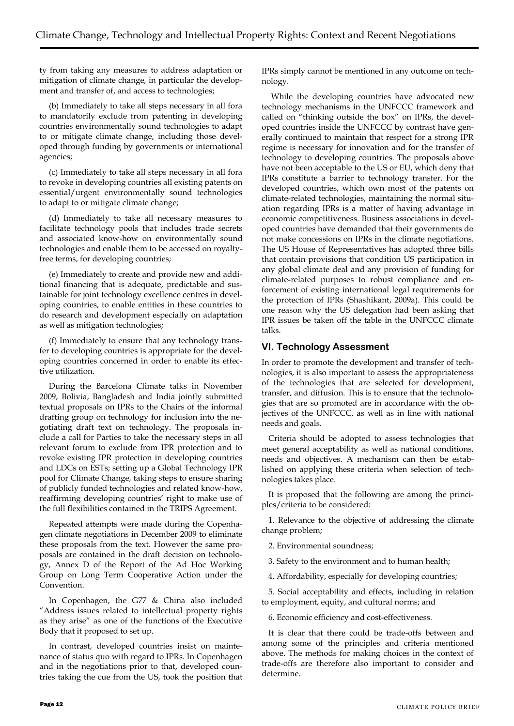ty from taking any measures to address adaptation or mitigation of climate change, in particular the development and transfer of, and access to technologies;

(b) Immediately to take all steps necessary in all fora to mandatorily exclude from patenting in developing countries environmentally sound technologies to adapt to or mitigate climate change, including those developed through funding by governments or international agencies;

(c) Immediately to take all steps necessary in all fora to revoke in developing countries all existing patents on essential/urgent environmentally sound technologies to adapt to or mitigate climate change;

(d) Immediately to take all necessary measures to facilitate technology pools that includes trade secrets and associated know-how on environmentally sound technologies and enable them to be accessed on royaltyfree terms, for developing countries;

(e) Immediately to create and provide new and additional financing that is adequate, predictable and sustainable for joint technology excellence centres in developing countries, to enable entities in these countries to do research and development especially on adaptation as well as mitigation technologies;

(f) Immediately to ensure that any technology transfer to developing countries is appropriate for the developing countries concerned in order to enable its effective utilization.

During the Barcelona Climate talks in November 2009, Bolivia, Bangladesh and India jointly submitted textual proposals on IPRs to the Chairs of the informal drafting group on technology for inclusion into the negotiating draft text on technology. The proposals include a call for Parties to take the necessary steps in all relevant forum to exclude from IPR protection and to revoke existing IPR protection in developing countries and LDCs on ESTs; setting up a Global Technology IPR pool for Climate Change, taking steps to ensure sharing of publicly funded technologies and related know-how, reaffirming developing countries' right to make use of the full flexibilities contained in the TRIPS Agreement.

Repeated attempts were made during the Copenhagen climate negotiations in December 2009 to eliminate these proposals from the text. However the same proposals are contained in the draft decision on technology, Annex D of the Report of the Ad Hoc Working Group on Long Term Cooperative Action under the Convention.

In Copenhagen, the G77 & China also included "Address issues related to intellectual property rights as they arise" as one of the functions of the Executive Body that it proposed to set up.

In contrast, developed countries insist on maintenance of status quo with regard to IPRs. In Copenhagen and in the negotiations prior to that, developed countries taking the cue from the US, took the position that

IPRs simply cannot be mentioned in any outcome on technology.

While the developing countries have advocated new technology mechanisms in the UNFCCC framework and called on "thinking outside the box" on IPRs, the developed countries inside the UNFCCC by contrast have generally continued to maintain that respect for a strong IPR regime is necessary for innovation and for the transfer of technology to developing countries. The proposals above have not been acceptable to the US or EU, which deny that IPRs constitute a barrier to technology transfer. For the developed countries, which own most of the patents on climate-related technologies, maintaining the normal situation regarding IPRs is a matter of having advantage in economic competitiveness. Business associations in developed countries have demanded that their governments do not make concessions on IPRs in the climate negotiations. The US House of Representatives has adopted three bills that contain provisions that condition US participation in any global climate deal and any provision of funding for climate-related purposes to robust compliance and enforcement of existing international legal requirements for the protection of IPRs (Shashikant, 2009a). This could be one reason why the US delegation had been asking that IPR issues be taken off the table in the UNFCCC climate talks.

## **VI. Technology Assessment**

In order to promote the development and transfer of technologies, it is also important to assess the appropriateness of the technologies that are selected for development, transfer, and diffusion. This is to ensure that the technologies that are so promoted are in accordance with the objectives of the UNFCCC, as well as in line with national needs and goals.

Criteria should be adopted to assess technologies that meet general acceptability as well as national conditions, needs and objectives. A mechanism can then be established on applying these criteria when selection of technologies takes place.

It is proposed that the following are among the principles/criteria to be considered:

1. Relevance to the objective of addressing the climate change problem;

2. Environmental soundness;

3. Safety to the environment and to human health;

4. Affordability, especially for developing countries;

5. Social acceptability and effects, including in relation to employment, equity, and cultural norms; and

6. Economic efficiency and cost-effectiveness.

It is clear that there could be trade-offs between and among some of the principles and criteria mentioned above. The methods for making choices in the context of trade-offs are therefore also important to consider and determine.